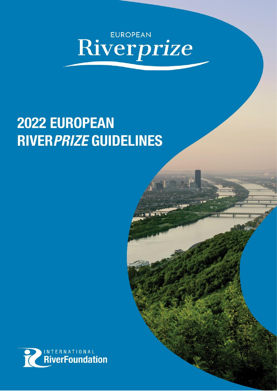# **Riverprize**

# 2022 EUROPEAN **RIVER PRIZE GUIDELINES**

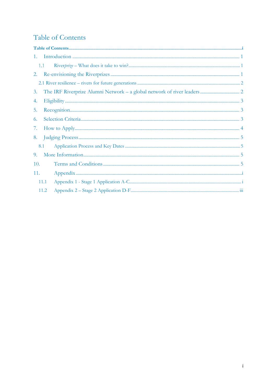# Table of Contents

| 1.   |  |  |  |
|------|--|--|--|
| 1.1  |  |  |  |
|      |  |  |  |
|      |  |  |  |
| 3.   |  |  |  |
| 4.   |  |  |  |
| 5.   |  |  |  |
| 6.   |  |  |  |
| 7.   |  |  |  |
| 8.   |  |  |  |
| 8.1  |  |  |  |
| 9.   |  |  |  |
| 10.  |  |  |  |
| 11.  |  |  |  |
| 11.1 |  |  |  |
| 11.2 |  |  |  |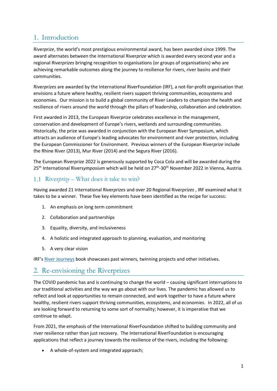# 1. Introduction

River*prize*, the world's most prestigious environmental award, has been awarded since 1999. The award alternates between the International River*prize* which is awarded every second year and a regional River*prizes* bringing recognition to organisations (or groups of organisations) who are achieving remarkable outcomes along the journey to resilience for rivers, river basins and their communities.

River*prizes* are awarded by the International RiverFoundation (IRF), a not-for-profit organisation that envisions a future where healthy, resilient rivers support thriving communities, ecosystems and economies. Our mission is to build a global community of River Leaders to champion the health and resilience of rivers around the world through the pillars of leadership, collaboration and celebration.

First awarded in 2013, the European River*prize* celebrates excellence in the management, conservation and development of Europe's rivers, wetlands and surrounding communities. Historically, the prize was awarded in conjunction with the European River Symposium, which attracts an audience of Europe's leading advocates for environment and river protection, including the European Commissioner for Environment. Previous winners of the European River*prize* include the Rhine River (2013), Mur River (2014) and the Segura River (2016).

The European River*prize* 2022 is generously supported by Coca Cola and will be awarded during the 25<sup>th</sup> International Riversymposium which will be held on 27<sup>th</sup>-30<sup>th</sup> November 2022 in Vienna, Austria.

# 1.1 River*prize* – What does it take to win?

Having awarded 21 International River*prizes* and over 20 Regional River*prizes* , IRF examined what it takes to be a winner. These five key elements have been identified as the recipe for success:

- 1. An emphasis on long term commitment
- 2. Collaboration and partnerships
- 3. Equality, diversity, and inclusiveness
- 4. A holistic and integrated approach to planning, evaluation, and monitoring
- 5. A very clear vision

IRF's [River Journeys](https://riverfoundation.org.au/publications/) book showcases past winners, twinning projects and other initiatives.

# 2. Re-envisioning the Riverprizes

The COVID pandemic has and is continuing to change the world – causing significant interruptions to our traditional activities and the way we go about with our lives. The pandemic has allowed us to reflect and look at opportunities to remain connected, and work together to have a future where healthy, resilient rivers support thriving communities, ecosystems, and economies. In 2022, all of us are looking forward to returning to some sort of normality; however, it is imperative that we continue to adapt.

From 2021, the emphasis of the International RiverFoundation shifted to building community and river resilience rather than just recovery. The International RiverFoundation is encouraging applications that reflect a journey towards the resilience of the rivers, including the following:

• A whole-of-system and integrated approach;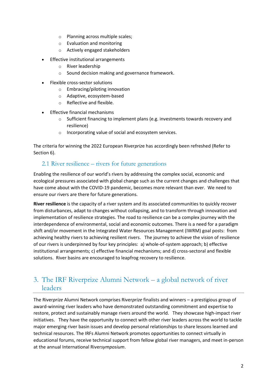- o Planning across multiple scales;
- o Evaluation and monitoring
- o Actively engaged stakeholders
- Effective institutional arrangements
	- o River leadership
	- o Sound decision making and governance framework.
- Flexible cross-sector solutions
	- o Embracing/piloting innovation
	- o Adaptive, ecosystem-based
	- o Reflective and flexible.
- Effective financial mechanisms
	- o Sufficient financing to implement plans (e.g. investments towards recovery and resilience)
	- o Incorporating value of social and ecosystem services.

The criteria for winning the 2022 European River*priz*e has accordingly been refreshed (Refer to Section 6).

#### 2.1 River resilience – rivers for future generations

Enabling the resilience of our world's rivers by addressing the complex social, economic and ecological pressures associated with global change such as the current changes and challenges that have come about with the COVID-19 pandemic, becomes more relevant than ever. We need to ensure our rivers are there for future generations.

**River resilience** is the capacity of a river system and its associated communities to quickly recover from disturbances, adapt to changes without collapsing, and to transform through innovation and implementation of resilience strategies. The road to resilience can be a complex journey with the interdependence of environmental, social and economic outcomes. There is a need for a paradigm shift and/or movement in the Integrated Water Resources Management (IWRM) goal posts: from achieving healthy rivers to achieving resilient rivers. The journey to achieve the vision of resilience of our rivers is underpinned by four key principles: a) whole-of-system approach; b) effective institutional arrangements; c) effective financial mechanisms; and d) cross-sectoral and flexible solutions. River basins are encouraged to leapfrog recovery to resilience.

# 3. The IRF Riverprize Alumni Network – a global network of river leaders

The River*prize* Alumni Network comprises River*prize* finalists and winners – a prestigious group of award-winning river leaders who have demonstrated outstanding commitment and expertise to restore, protect and sustainably manage rivers around the world. They showcase high-impact river initiatives. They have the opportunity to connect with other river leaders across the world to tackle major emerging river basin issues and develop personal relationships to share lessons learned and technical resources. The IRFs Alumni Network promotes opportunities to connect virtually in educational forums, receive technical support from fellow global river managers, and meet in-person at the annual International River*symposium*.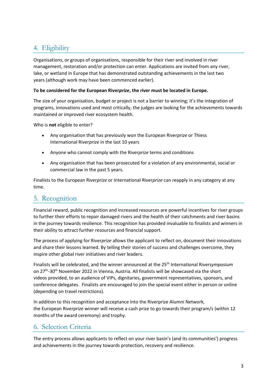# 4. Eligibility

Organisations, or groups of organisations, responsible for their river and involved in river management, restoration and/or protection can enter. Applications are invited from any river, lake, or wetland in Europe that has demonstrated outstanding achievements in the last two years (although work may have been commenced earlier).

#### **To be considered for the European River***prize***, the river must be located in Europe.**

The size of your organisation, budget or project is not a barrier to winning; it's the integration of programs, innovations used and most critically, the judges are looking for the achievements towards maintained or improved river ecosystem health.

Who is **not** eligible to enter?

- Any organisation that has previously won the European River*prize* or Thiess International River*prize* in the last 10 years
- Anyone who cannot comply with the River*prize* terms and conditions
- Any organisation that has been prosecuted for a violation of any environmental, social or commercial law in the past 5 years.

Finalists to the European River*prize* or International River*prize* can reapply in any category at any time.

# 5. Recognition

Financial reward, public recognition and increased resources are powerful incentives for river groups to further their efforts to repair damaged rivers and the health of their catchments and river basins in the journey towards resilience. This recognition has provided invaluable to finalists and winners in their ability to attract further resources and financial support.

The process of applying for River*prize* allows the applicant to reflect on, document their innovations and share their lessons learned. By telling their stories of success and challenges overcome, they inspire other global river initiatives and river leaders.

Finalists will be celebrated, and the winner announced at the 25th International River*symposium* on 27<sup>th</sup>-30<sup>th</sup> November 2022 in Vienna, Austria. All finalists will be showcased via the short videos provided, to an audience of VIPs, dignitaries, government representatives, sponsors, and conference delegates. Finalists are encouraged to join the special event either in person or online (depending on travel restrictions).

In addition to this recognition and acceptance into the Riverprize Alumni Network, the European River*prize* winner will receive a cash prize to go towards their program/s (within 12 months of the award ceremony) and trophy.

# 6. Selection Criteria

The entry process allows applicants to reflect on your river basin's (and its communities') progress and achievements in the journey towards protection, recovery and resilience.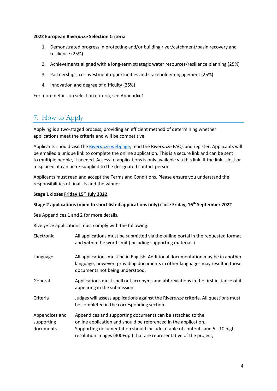#### **2022 European River***prize* **Selection Criteria**

- 1. Demonstrated progress in protecting and/or building river/catchment/basin recovery and resilience (25%)
- 2. Achievements aligned with a long-term strategic water resources/resilience planning (25%)
- 3. Partnerships, co-investment opportunities and stakeholder engagement (25%)
- 4. Innovation and degree of difficulty (25%)

For more details on selection criteria, see Appendix 1.

# 7. How to Apply

Applying is a two-staged process, providing an efficient method of determining whether applications meet the criteria and will be competitive.

Applicants should visit the River*prize* [webpage,](http://www.riverfoundation.org.au/our-programs/riverprize/international-riverprize/) read the River*prize* FAQs and register. Applicants will be emailed a unique link to complete the online application. This is a secure link and can be sent to multiple people, if needed. Access to applications is only available via this link. If the link is lost or misplaced, it can be re-supplied to the designated contact person.

Applicants must read and accept the Terms and Conditions. Please ensure you understand the responsibilities of finalists and the winner.

#### **Stage 1 closes Friday 15 th July 2022.**

#### **Stage 2 applications (open to short listed applications only) close Friday, 16th September 2022**

See Appendices 1 and 2 for more details.

River*prize* applications must comply with the following:

| Electronic                                | All applications must be submitted via the online portal in the requested format<br>and within the word limit (including supporting materials).                                                                                                                                     |
|-------------------------------------------|-------------------------------------------------------------------------------------------------------------------------------------------------------------------------------------------------------------------------------------------------------------------------------------|
| Language                                  | All applications must be in English. Additional documentation may be in another<br>language, however, providing documents in other languages may result in those<br>documents not being understood.                                                                                 |
| General                                   | Applications must spell out acronyms and abbreviations in the first instance of it<br>appearing in the submission.                                                                                                                                                                  |
| Criteria                                  | Judges will assess applications against the Riverprize criteria. All questions must<br>be completed in the corresponding section.                                                                                                                                                   |
| Appendices and<br>supporting<br>documents | Appendices and supporting documents can be attached to the<br>online application and should be referenced in the application.<br>Supporting documentation should include a table of contents and 5 - 10 high<br>resolution images (300+dpi) that are representative of the project, |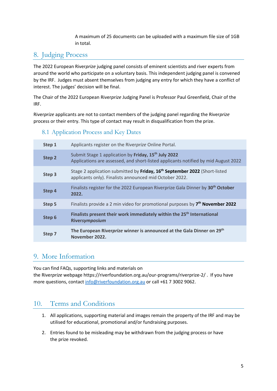A maximum of 25 documents can be uploaded with a maximum file size of 1GB in total.

# 8. Judging Process

The 2022 European River*prize* judging panel consists of eminent scientists and river experts from around the world who participate on a voluntary basis. This independent judging panel is convened by the IRF. Judges must absent themselves from judging any entry for which they have a conflict of interest. The judges' decision will be final.

The Chair of the 2022 European River*prize* Judging Panel is Professor Paul Greenfield, Chair of the IRF.

River*prize* applicants are not to contact members of the judging panel regarding the River*prize*  process or their entry. This type of contact may result in disqualification from the prize.

#### 8.1 Application Process and Key Dates

| Step 1 | Applicants register on the Riverprize Online Portal.                                                                                                   |
|--------|--------------------------------------------------------------------------------------------------------------------------------------------------------|
| Step 2 | Submit Stage 1 application by Friday, 15 <sup>th</sup> July 2022<br>Applications are assessed, and short-listed applicants notified by mid August 2022 |
| Step 3 | Stage 2 application submitted by Friday, 16 <sup>th</sup> September 2022 (Short-listed<br>applicants only). Finalists announced mid October 2022.      |
| Step 4 | Finalists register for the 2022 European Riverprize Gala Dinner by 30 <sup>th</sup> October<br>2022.                                                   |
| Step 5 | Finalists provide a 2 min video for promotional purposes by 7 <sup>th</sup> November 2022                                                              |
| Step 6 | Finalists present their work immediately within the 25 <sup>th</sup> International<br>Riversymposium                                                   |
| Step 7 | The European Riverprize winner is announced at the Gala Dinner on 29th<br>November 2022.                                                               |

# 9. More Information

You can find FAQs, supporting links and materials on the River*prize* webpage https://riverfoundation.org.au/our-programs/riverprize-2/ . If you have more questions, contact [info@riverfoundation.org.au](mailto:info@riverfoundation.org.au) or call +61 7 3002 9062.

# 10. Terms and Conditions

- 1. All applications, supporting material and images remain the property of the IRF and may be utilised for educational, promotional and/or fundraising purposes.
- 2. Entries found to be misleading may be withdrawn from the judging process or have the prize revoked.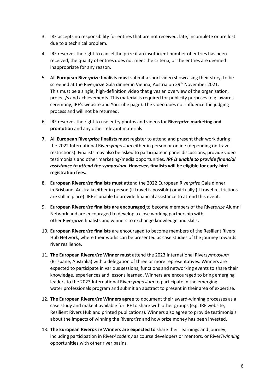- 3. IRF accepts no responsibility for entries that are not received, late, incomplete or are lost due to a technical problem.
- 4. IRF reserves the right to cancel the prize if an insufficient number of entries has been received, the quality of entries does not meet the criteria, or the entries are deemed inappropriate for any reason.
- 5. All **European River***prize* **finalists must** submit a short video showcasing their story, to be screened at the River*prize* Gala dinner in Vienna, Austria on 29th November 2021. This must be a single, high-definition video that gives an overview of the organisation, project/s and achievements. This material is required for publicity purposes (e.g. awards ceremony, IRF's website and YouTube page). The video does not influence the judging process and will not be returned.
- 6. IRF reserves the right to use entry photos and videos for **River***prize* **marketing and promotion** and any other relevant materials
- **7.** All **European River***prize* **finalists must** register to attend and present their work during the 2022 International River*symposium* either in person or online (depending on travel restrictions). Finalists may also be asked to participate in panel discussions, provide video testimonials and other marketing/media opportunities*. IRF is unable to provide financial assistance to attend the symposium. However,* **finalists will be eligible for early-bird registration fees.**
- 8. **European River***prize* **finalists must** attend the 2022 European River*prize* Gala dinner in Brisbane, Australia either in person (if travel is possible) or virtually (if travel restrictions are still in place). IRF is unable to provide financial assistance to attend this event.
- 9. **European River***prize* **finalists are encouraged** to become members of the River*prize* Alumni Network and are encouraged to develop a close working partnership with other River*prize* finalists and winners to exchange knowledge and skills**.**
- 10. **European River***prize* **finalists** are encouraged to become members of the Resilient Rivers Hub Network, where their works can be presented as case studies of the journey towards river resilience.
- 11. **The European River***prize* **Winner must** attend the 2023 International River*symposium* (Brisbane, Australia) with a delegation of three or more representatives. Winners are expected to participate in various sessions, functions and networking events to share their knowledge, experiences and lessons learned. Winners are encouraged to bring emerging leaders to the 2023 International River*symposium* to participate in the emerging water professionals program and submit an abstract to present in their area of expertise.
- 12. **The European River***prize* **Winners agree** to document their award-winning processes as a case study and make it available for IRF to share with other groups (e.g. IRF website, Resilient Rivers Hub and printed publications). Winners also agree to provide testimonials about the impacts of winning the River*prize* and how prize money has been invested.
- 13. **The European River***prize* **Winners are expected to** share their learnings and journey, including participation in River*Academy* as course developers or mentors, or River*Twinning* opportunities with other river basins.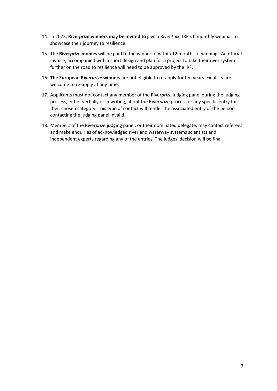- 14. In 2023, **River***prize* **winners may be invited to** give a River*Talk*, IRF's bimonthly webinar to showcase their journey to resilience.
- 15. The **River***prize* **monies** will be paid to the winner of within 12 months of winning. An official invoice, accompanied with a short design and plan for a project to take their river system further on the road to resilience will need to be approved by the IRF.
- 16. **The European River***prize* **winners** are not eligible to re-apply for ten years. Finalists are welcome to re-apply at any time.
- 17. Applicants must not contact any member of the River*prize* judging panel during the judging process, either verbally or in writing, about the River*prize* process or any specific entry for their chosen category. This type of contact will render the associated entry of the person contacting the judging panel invalid.
- 18. Members of the River*prize* judging panel, or their nominated delegate, may contact referees and make enquiries of acknowledged river and waterway systems scientists and independent experts regarding any of the entries. The judges' decision will be final.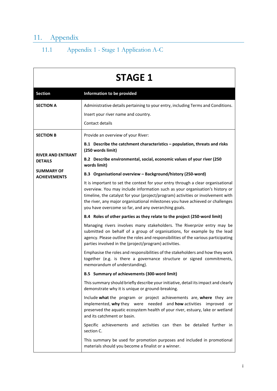# 11. Appendix

# 11.1 Appendix 1 - Stage 1 Application A-C

| <b>STAGE 1</b>                             |                                                                                                                                                                                                                                                                                                                                                                                                |  |  |
|--------------------------------------------|------------------------------------------------------------------------------------------------------------------------------------------------------------------------------------------------------------------------------------------------------------------------------------------------------------------------------------------------------------------------------------------------|--|--|
| <b>Section</b>                             | Information to be provided                                                                                                                                                                                                                                                                                                                                                                     |  |  |
| <b>SECTION A</b>                           | Administrative details pertaining to your entry, including Terms and Conditions.<br>Insert your river name and country.<br>Contact details                                                                                                                                                                                                                                                     |  |  |
| <b>SECTION B</b>                           | Provide an overview of your River:                                                                                                                                                                                                                                                                                                                                                             |  |  |
|                                            | B.1 Describe the catchment characteristics - population, threats and risks<br>(250 words limit)                                                                                                                                                                                                                                                                                                |  |  |
| <b>RIVER AND ENTRANT</b><br><b>DETAILS</b> | B.2 Describe environmental, social, economic values of your river (250<br>words limit)                                                                                                                                                                                                                                                                                                         |  |  |
| <b>SUMMARY OF</b><br><b>ACHIEVEMENTS</b>   | B.3 Organisational overview - Background/history (250-word)                                                                                                                                                                                                                                                                                                                                    |  |  |
|                                            | It is important to set the context for your entry through a clear organisational<br>overview. You may include information such as your organisation's history or<br>timeline, the catalyst for your (project/program) activities or involvement with<br>the river, any major organisational milestones you have achieved or challenges<br>you have overcome so far, and any overarching goals. |  |  |
|                                            | B.4 Roles of other parties as they relate to the project (250-word limit)                                                                                                                                                                                                                                                                                                                      |  |  |
|                                            | Managing rivers involves many stakeholders. The Riverprize entry may be<br>submitted on behalf of a group of organisations, for example by the lead<br>agency. Please outline the roles and responsibilities of the various participating<br>parties involved in the (project/program) activities.                                                                                             |  |  |
|                                            | Emphasise the roles and responsibilities of the stakeholders and how they work<br>together (e.g. is there a governance structure or signed commitments,<br>memorandum of understanding).                                                                                                                                                                                                       |  |  |
|                                            | B.5 Summary of achievements (300-word limit)                                                                                                                                                                                                                                                                                                                                                   |  |  |
|                                            | This summary should briefly describe your initiative, detail its impact and clearly<br>demonstrate why it is unique or ground-breaking.                                                                                                                                                                                                                                                        |  |  |
|                                            | Include what the program or project achievements are, where they are<br>implemented, why they were needed and how activities improved or<br>preserved the aquatic ecosystem health of your river, estuary, lake or wetland<br>and its catchment or basin.                                                                                                                                      |  |  |
|                                            | Specific achievements and activities can then be detailed further in<br>section C.                                                                                                                                                                                                                                                                                                             |  |  |
|                                            | This summary be used for promotion purposes and included in promotional<br>materials should you become a finalist or a winner.                                                                                                                                                                                                                                                                 |  |  |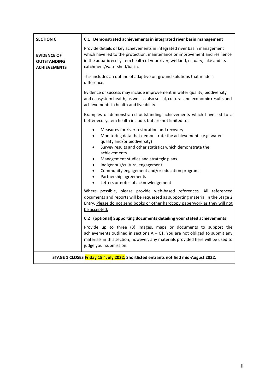| <b>SECTION C</b>                                                | C.1 Demonstrated achievements in integrated river basin management                                                                                                                                                                                                                                                                                                                                                                                                                        |
|-----------------------------------------------------------------|-------------------------------------------------------------------------------------------------------------------------------------------------------------------------------------------------------------------------------------------------------------------------------------------------------------------------------------------------------------------------------------------------------------------------------------------------------------------------------------------|
| <b>EVIDENCE OF</b><br><b>OUTSTANDING</b><br><b>ACHIEVEMENTS</b> | Provide details of key achievements in integrated river basin management<br>which have led to the protection, maintenance or improvement and resilience<br>in the aquatic ecosystem health of your river, wetland, estuary, lake and its<br>catchment/watershed/basin.                                                                                                                                                                                                                    |
|                                                                 | This includes an outline of adaptive on-ground solutions that made a<br>difference.                                                                                                                                                                                                                                                                                                                                                                                                       |
|                                                                 | Evidence of success may include improvement in water quality, biodiversity<br>and ecosystem health, as well as also social, cultural and economic results and<br>achievements in health and liveability.                                                                                                                                                                                                                                                                                  |
|                                                                 | Examples of demonstrated outstanding achievements which have led to a<br>better ecosystem health include, but are not limited to:                                                                                                                                                                                                                                                                                                                                                         |
|                                                                 | Measures for river restoration and recovery<br>Monitoring data that demonstrate the achievements (e.g. water<br>$\bullet$<br>quality and/or biodiversity)<br>Survey results and other statistics which demonstrate the<br>$\bullet$<br>achievements<br>Management studies and strategic plans<br>Indigenous/cultural engagement<br>$\bullet$<br>Community engagement and/or education programs<br>$\bullet$<br>Partnership agreements<br>$\bullet$<br>Letters or notes of acknowledgement |
|                                                                 | Where possible, please provide web-based references. All referenced<br>documents and reports will be requested as supporting material in the Stage 2<br>Entry. Please do not send books or other hardcopy paperwork as they will not<br>be accepted.                                                                                                                                                                                                                                      |
|                                                                 | C.2 (optional) Supporting documents detailing your stated achievements                                                                                                                                                                                                                                                                                                                                                                                                                    |
|                                                                 | Provide up to three (3) images, maps or documents to support the<br>achievements outlined in sections $A - C1$ . You are not obliged to submit any<br>materials in this section; however, any materials provided here will be used to<br>judge your submission.                                                                                                                                                                                                                           |
|                                                                 | STAGE 1 CLOSES Friday 15 <sup>th</sup> July 2022. Shortlisted entrants notified mid-August 2022.                                                                                                                                                                                                                                                                                                                                                                                          |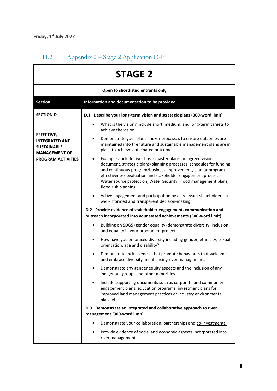# 11.2 Appendix 2 – Stage 2 Application D-F

| <b>STAGE 2</b><br>Open to shortlisted entrants only                               |                                                                                                                                                                                                                                                                                                                                                                       |  |  |  |
|-----------------------------------------------------------------------------------|-----------------------------------------------------------------------------------------------------------------------------------------------------------------------------------------------------------------------------------------------------------------------------------------------------------------------------------------------------------------------|--|--|--|
|                                                                                   |                                                                                                                                                                                                                                                                                                                                                                       |  |  |  |
| <b>SECTION D</b>                                                                  | D.1 Describe your long-term vision and strategic plans (300-word limit)                                                                                                                                                                                                                                                                                               |  |  |  |
|                                                                                   | What is the vision? Include short, medium, and long-term targets to<br>$\bullet$<br>achieve the vision.                                                                                                                                                                                                                                                               |  |  |  |
| EFFECTIVE,<br><b>INTEGRATED AND</b><br><b>SUSTAINABLE</b><br><b>MANAGEMENT OF</b> | Demonstrate your plans and/or processes to ensure outcomes are<br>٠<br>maintained into the future and sustainable management plans are in<br>place to achieve anticipated outcomes                                                                                                                                                                                    |  |  |  |
| <b>PROGRAM ACTIVITIES</b>                                                         | Examples include river basin master plans; an agreed vision<br>٠<br>document, strategic plans/planning processes, schedules for funding<br>and continuous program/business improvement, plan or program<br>effectiveness evaluation and stakeholder engagement processes.<br>Water source protection, Water Security, Flood management plans,<br>flood risk planning. |  |  |  |
|                                                                                   | Active engagement and participation by all relevant stakeholders in<br>٠<br>well-informed and transparent decision-making                                                                                                                                                                                                                                             |  |  |  |
|                                                                                   | D.2 Provide evidence of stakeholder engagement, communication and<br>outreach incorporated into your stated achievements (300-word limit)                                                                                                                                                                                                                             |  |  |  |
|                                                                                   | Building on SDG5 (gender equality) demonstrate diversity, inclusion<br>$\bullet$<br>and equality in your program or project.                                                                                                                                                                                                                                          |  |  |  |
|                                                                                   | How have you embraced diversity including gender, ethnicity, sexual<br>٠<br>orientation, age and disability?                                                                                                                                                                                                                                                          |  |  |  |
|                                                                                   | Demonstrate inclusiveness that promote behaviours that welcome<br>$\bullet$<br>and embrace diversity in enhancing river management.                                                                                                                                                                                                                                   |  |  |  |
|                                                                                   | Demonstrate any gender equity aspects and the inclusion of any<br>indigenous groups and other minorities.                                                                                                                                                                                                                                                             |  |  |  |
|                                                                                   | Include supporting documents such as corporate and community<br>engagement plans, education programs, investment plans for<br>improved land management practices or industry environmental<br>plans etc.                                                                                                                                                              |  |  |  |
|                                                                                   | D.3 Demonstrate an integrated and collaborative approach to river<br>management (300-word limit)                                                                                                                                                                                                                                                                      |  |  |  |
|                                                                                   | Demonstrate your collaboration, partnerships and co-investments.<br>$\bullet$                                                                                                                                                                                                                                                                                         |  |  |  |
|                                                                                   | Provide evidence of social and economic aspects incorporated into<br>$\bullet$<br>river management                                                                                                                                                                                                                                                                    |  |  |  |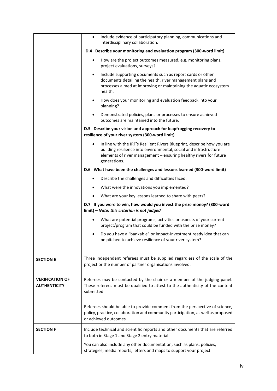|                                               | Include evidence of participatory planning, communications and<br>$\bullet$<br>interdisciplinary collaboration.                                                                                                                   |
|-----------------------------------------------|-----------------------------------------------------------------------------------------------------------------------------------------------------------------------------------------------------------------------------------|
|                                               | D.4 Describe your monitoring and evaluation program (300-word limit)                                                                                                                                                              |
|                                               | How are the project outcomes measured, e.g. monitoring plans,<br>٠<br>project evaluations, surveys?                                                                                                                               |
|                                               | Include supporting documents such as report cards or other<br>$\bullet$<br>documents detailing the health, river management plans and<br>processes aimed at improving or maintaining the aquatic ecosystem<br>health.             |
|                                               | How does your monitoring and evaluation feedback into your<br>٠<br>planning?                                                                                                                                                      |
|                                               | Demonstrated policies, plans or processes to ensure achieved<br>$\bullet$<br>outcomes are maintained into the future.                                                                                                             |
|                                               | D.5 Describe your vision and approach for leapfrogging recovery to<br>resilience of your river system (300-word limit)                                                                                                            |
|                                               | In line with the IRF's Resilient Rivers Blueprint, describe how you are<br>building resilience into environmental, social and infrastructure<br>elements of river management - ensuring healthy rivers for future<br>generations. |
|                                               | D.6 What have been the challenges and lessons learned (300-word limit)                                                                                                                                                            |
|                                               | Describe the challenges and difficulties faced.<br>$\bullet$                                                                                                                                                                      |
|                                               | What were the innovations you implemented?<br>$\bullet$                                                                                                                                                                           |
|                                               | What are your key lessons learned to share with peers?<br>$\bullet$                                                                                                                                                               |
|                                               | D.7 If you were to win, how would you invest the prize money? (300-word<br>limit) - Note: this criterion is not judged                                                                                                            |
|                                               | What are potential programs, activities or aspects of your current<br>$\bullet$<br>project/program that could be funded with the prize money?                                                                                     |
|                                               | Do you have a "bankable" or impact-investment ready idea that can<br>be pitched to achieve resilience of your river system?                                                                                                       |
| <b>SECTION E</b>                              | Three independent referees must be supplied regardless of the scale of the<br>project or the number of partner organisations involved.                                                                                            |
| <b>VERIFICATION OF</b><br><b>AUTHENTICITY</b> | Referees may be contacted by the chair or a member of the judging panel.<br>These referees must be qualified to attest to the authenticity of the content<br>submitted.                                                           |
|                                               | Referees should be able to provide comment from the perspective of science,<br>policy, practice, collaboration and community participation, as well as proposed<br>or achieved outcomes.                                          |
| <b>SECTION F</b>                              | Include technical and scientific reports and other documents that are referred<br>to both in Stage 1 and Stage 2 entry material.                                                                                                  |
|                                               | You can also include any other documentation, such as plans, policies,<br>strategies, media reports, letters and maps to support your project                                                                                     |